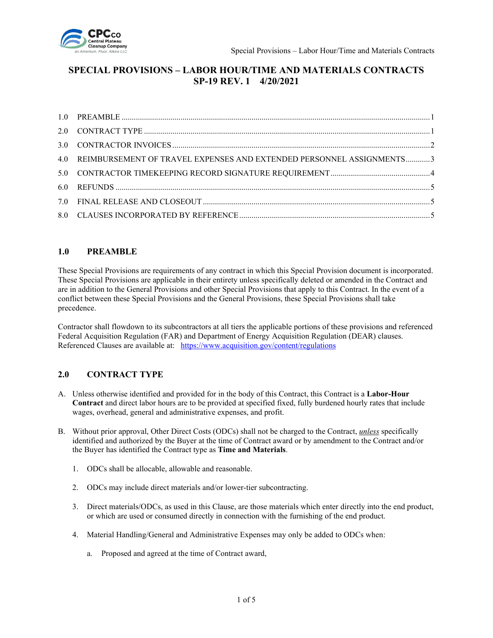

# **SPECIAL PROVISIONS – LABOR HOUR/TIME AND MATERIALS CONTRACTS SP-19 REV. 1 4/20/2021**

| 4.0 REIMBURSEMENT OF TRAVEL EXPENSES AND EXTENDED PERSONNEL ASSIGNMENTS3 |  |
|--------------------------------------------------------------------------|--|
|                                                                          |  |
|                                                                          |  |
|                                                                          |  |
|                                                                          |  |

### <span id="page-0-0"></span>**1.0 PREAMBLE**

These Special Provisions are requirements of any contract in which this Special Provision document is incorporated. These Special Provisions are applicable in their entirety unless specifically deleted or amended in the Contract and are in addition to the General Provisions and other Special Provisions that apply to this Contract. In the event of a conflict between these Special Provisions and the General Provisions, these Special Provisions shall take precedence.

Contractor shall flowdown to its subcontractors at all tiers the applicable portions of these provisions and referenced Federal Acquisition Regulation (FAR) and Department of Energy Acquisition Regulation (DEAR) clauses. Referenced Clauses are available at: <https://www.acquisition.gov/content/regulations>

# <span id="page-0-1"></span>**2.0 CONTRACT TYPE**

- A. Unless otherwise identified and provided for in the body of this Contract, this Contract is a **Labor-Hour Contract** and direct labor hours are to be provided at specified fixed, fully burdened hourly rates that include wages, overhead, general and administrative expenses, and profit.
- B. Without prior approval, Other Direct Costs (ODCs) shall not be charged to the Contract, *unless* specifically identified and authorized by the Buyer at the time of Contract award or by amendment to the Contract and/or the Buyer has identified the Contract type as **Time and Materials**.
	- 1. ODCs shall be allocable, allowable and reasonable.
	- 2. ODCs may include direct materials and/or lower-tier subcontracting.
	- 3. Direct materials/ODCs, as used in this Clause, are those materials which enter directly into the end product, or which are used or consumed directly in connection with the furnishing of the end product.
	- 4. Material Handling/General and Administrative Expenses may only be added to ODCs when:
		- a. Proposed and agreed at the time of Contract award,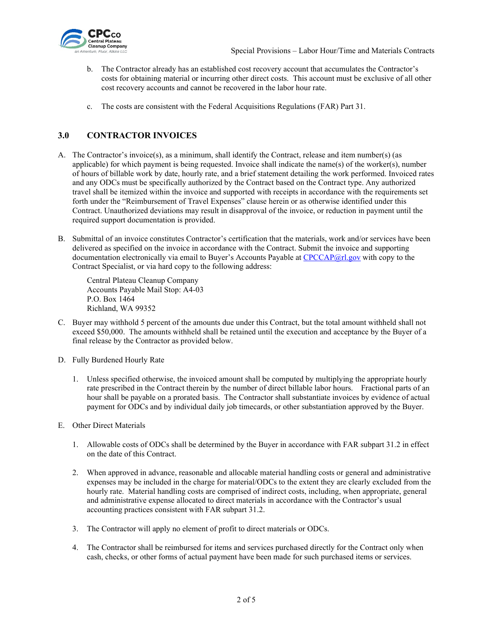

- b. The Contractor already has an established cost recovery account that accumulates the Contractor's costs for obtaining material or incurring other direct costs. This account must be exclusive of all other cost recovery accounts and cannot be recovered in the labor hour rate.
- c. The costs are consistent with the Federal Acquisitions Regulations (FAR) Part 31.

# <span id="page-1-0"></span>**3.0 CONTRACTOR INVOICES**

- A. The Contractor's invoice(s), as a minimum, shall identify the Contract, release and item number(s) (as applicable) for which payment is being requested. Invoice shall indicate the name(s) of the worker(s), number of hours of billable work by date, hourly rate, and a brief statement detailing the work performed. Invoiced rates and any ODCs must be specifically authorized by the Contract based on the Contract type. Any authorized travel shall be itemized within the invoice and supported with receipts in accordance with the requirements set forth under the "Reimbursement of Travel Expenses" clause herein or as otherwise identified under this Contract. Unauthorized deviations may result in disapproval of the invoice, or reduction in payment until the required support documentation is provided.
- B. Submittal of an invoice constitutes Contractor's certification that the materials, work and/or services have been delivered as specified on the invoice in accordance with the Contract. Submit the invoice and supporting documentation electronically via email to Buyer's Accounts Payable at [CPCCAP@rl.gov](mailto:CPCCAP@rl.gov) with copy to the Contract Specialist, or via hard copy to the following address:

Central Plateau Cleanup Company Accounts Payable Mail Stop: A4-03 P.O. Box 1464 Richland, WA 99352

- C. Buyer may withhold 5 percent of the amounts due under this Contract, but the total amount withheld shall not exceed \$50,000. The amounts withheld shall be retained until the execution and acceptance by the Buyer of a final release by the Contractor as provided below.
- D. Fully Burdened Hourly Rate
	- 1. Unless specified otherwise, the invoiced amount shall be computed by multiplying the appropriate hourly rate prescribed in the Contract therein by the number of direct billable labor hours. Fractional parts of an hour shall be payable on a prorated basis. The Contractor shall substantiate invoices by evidence of actual payment for ODCs and by individual daily job timecards, or other substantiation approved by the Buyer.
- E. Other Direct Materials
	- 1. Allowable costs of ODCs shall be determined by the Buyer in accordance with FAR subpart 31.2 in effect on the date of this Contract.
	- 2. When approved in advance, reasonable and allocable material handling costs or general and administrative expenses may be included in the charge for material/ODCs to the extent they are clearly excluded from the hourly rate. Material handling costs are comprised of indirect costs, including, when appropriate, general and administrative expense allocated to direct materials in accordance with the Contractor's usual accounting practices consistent with FAR subpart 31.2.
	- 3. The Contractor will apply no element of profit to direct materials or ODCs.
	- 4. The Contractor shall be reimbursed for items and services purchased directly for the Contract only when cash, checks, or other forms of actual payment have been made for such purchased items or services.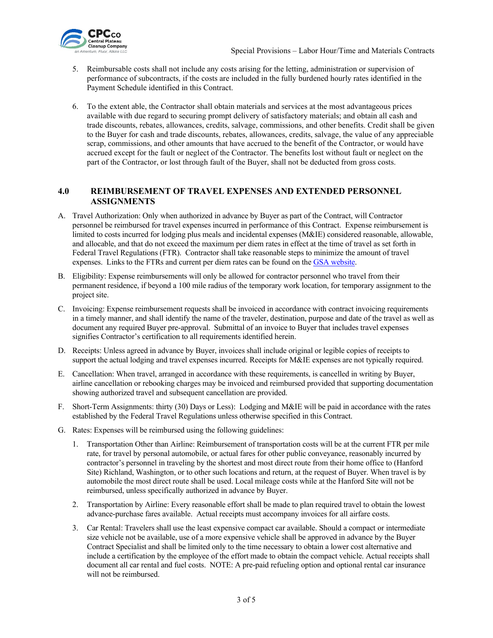

- 5. Reimbursable costs shall not include any costs arising for the letting, administration or supervision of performance of subcontracts, if the costs are included in the fully burdened hourly rates identified in the Payment Schedule identified in this Contract.
- 6. To the extent able, the Contractor shall obtain materials and services at the most advantageous prices available with due regard to securing prompt delivery of satisfactory materials; and obtain all cash and trade discounts, rebates, allowances, credits, salvage, commissions, and other benefits. Credit shall be given to the Buyer for cash and trade discounts, rebates, allowances, credits, salvage, the value of any appreciable scrap, commissions, and other amounts that have accrued to the benefit of the Contractor, or would have accrued except for the fault or neglect of the Contractor. The benefits lost without fault or neglect on the part of the Contractor, or lost through fault of the Buyer, shall not be deducted from gross costs.

### <span id="page-2-0"></span>**4.0 REIMBURSEMENT OF TRAVEL EXPENSES AND EXTENDED PERSONNEL ASSIGNMENTS**

- A. Travel Authorization: Only when authorized in advance by Buyer as part of the Contract, will Contractor personnel be reimbursed for travel expenses incurred in performance of this Contract. Expense reimbursement is limited to costs incurred for lodging plus meals and incidental expenses (M&IE) considered reasonable, allowable, and allocable, and that do not exceed the maximum per diem rates in effect at the time of travel as set forth in Federal Travel Regulations (FTR). Contractor shall take reasonable steps to minimize the amount of travel expenses. Links to the FTRs and current per diem rates can be found on the [GSA website.](http://www.gsa.gov/)
- B. Eligibility: Expense reimbursements will only be allowed for contractor personnel who travel from their permanent residence, if beyond a 100 mile radius of the temporary work location, for temporary assignment to the project site.
- C. Invoicing: Expense reimbursement requests shall be invoiced in accordance with contract invoicing requirements in a timely manner, and shall identify the name of the traveler, destination, purpose and date of the travel as well as document any required Buyer pre-approval. Submittal of an invoice to Buyer that includes travel expenses signifies Contractor's certification to all requirements identified herein.
- D. Receipts: Unless agreed in advance by Buyer, invoices shall include original or legible copies of receipts to support the actual lodging and travel expenses incurred. Receipts for M&IE expenses are not typically required.
- E. Cancellation: When travel, arranged in accordance with these requirements, is cancelled in writing by Buyer, airline cancellation or rebooking charges may be invoiced and reimbursed provided that supporting documentation showing authorized travel and subsequent cancellation are provided.
- F. Short-Term Assignments: thirty (30) Days or Less): Lodging and M&IE will be paid in accordance with the rates established by the Federal Travel Regulations unless otherwise specified in this Contract.
- G. Rates: Expenses will be reimbursed using the following guidelines:
	- 1. Transportation Other than Airline: Reimbursement of transportation costs will be at the current FTR per mile rate, for travel by personal automobile, or actual fares for other public conveyance, reasonably incurred by contractor's personnel in traveling by the shortest and most direct route from their home office to (Hanford Site) Richland, Washington, or to other such locations and return, at the request of Buyer. When travel is by automobile the most direct route shall be used. Local mileage costs while at the Hanford Site will not be reimbursed, unless specifically authorized in advance by Buyer.
	- 2. Transportation by Airline: Every reasonable effort shall be made to plan required travel to obtain the lowest advance-purchase fares available. Actual receipts must accompany invoices for all airfare costs.
	- 3. Car Rental: Travelers shall use the least expensive compact car available. Should a compact or intermediate size vehicle not be available, use of a more expensive vehicle shall be approved in advance by the Buyer Contract Specialist and shall be limited only to the time necessary to obtain a lower cost alternative and include a certification by the employee of the effort made to obtain the compact vehicle. Actual receipts shall document all car rental and fuel costs. NOTE: A pre-paid refueling option and optional rental car insurance will not be reimbursed.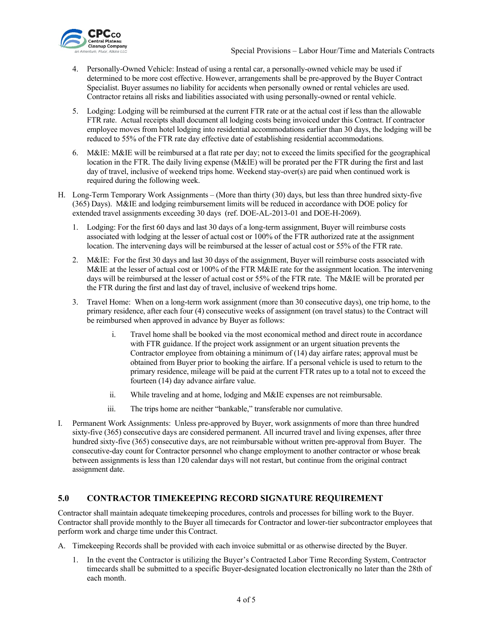

- 4. Personally-Owned Vehicle: Instead of using a rental car, a personally-owned vehicle may be used if determined to be more cost effective. However, arrangements shall be pre-approved by the Buyer Contract Specialist. Buyer assumes no liability for accidents when personally owned or rental vehicles are used. Contractor retains all risks and liabilities associated with using personally-owned or rental vehicle.
- 5. Lodging: Lodging will be reimbursed at the current FTR rate or at the actual cost if less than the allowable FTR rate. Actual receipts shall document all lodging costs being invoiced under this Contract. If contractor employee moves from hotel lodging into residential accommodations earlier than 30 days, the lodging will be reduced to 55% of the FTR rate day effective date of establishing residential accommodations.
- 6. M&IE: M&IE will be reimbursed at a flat rate per day; not to exceed the limits specified for the geographical location in the FTR. The daily living expense (M&IE) will be prorated per the FTR during the first and last day of travel, inclusive of weekend trips home. Weekend stay-over(s) are paid when continued work is required during the following week.
- H. Long-Term Temporary Work Assignments (More than thirty (30) days, but less than three hundred sixty-five (365) Days). M&IE and lodging reimbursement limits will be reduced in accordance with DOE policy for extended travel assignments exceeding 30 day[s \(ref. DOE-AL-2013-01](http://energy.gov/management/acquisition-letters) and DOE-H-2069).
	- 1. Lodging: For the first 60 days and last 30 days of a long-term assignment, Buyer will reimburse costs associated with lodging at the lesser of actual cost or 100% of the FTR authorized rate at the assignment location. The intervening days will be reimbursed at the lesser of actual cost or 55% of the FTR rate.
	- 2. M&IE: For the first 30 days and last 30 days of the assignment, Buyer will reimburse costs associated with M&IE at the lesser of actual cost or 100% of the FTR M&IE rate for the assignment location. The intervening days will be reimbursed at the lesser of actual cost or 55% of the FTR rate. The M&IE will be prorated per the FTR during the first and last day of travel, inclusive of weekend trips home.
	- 3. Travel Home: When on a long-term work assignment (more than 30 consecutive days), one trip home, to the primary residence, after each four (4) consecutive weeks of assignment (on travel status) to the Contract will be reimbursed when approved in advance by Buyer as follows:
		- i. Travel home shall be booked via the most economical method and direct route in accordance with FTR guidance. If the project work assignment or an urgent situation prevents the Contractor employee from obtaining a minimum of (14) day airfare rates; approval must be obtained from Buyer prior to booking the airfare. If a personal vehicle is used to return to the primary residence, mileage will be paid at the current FTR rates up to a total not to exceed the fourteen (14) day advance airfare value.
		- ii. While traveling and at home, lodging and M&IE expenses are not reimbursable.
		- iii. The trips home are neither "bankable," transferable nor cumulative.
- I. Permanent Work Assignments: Unless pre-approved by Buyer, work assignments of more than three hundred sixty-five (365) consecutive days are considered permanent. All incurred travel and living expenses, after three hundred sixty-five (365) consecutive days, are not reimbursable without written pre-approval from Buyer. The consecutive-day count for Contractor personnel who change employment to another contractor or whose break between assignments is less than 120 calendar days will not restart, but continue from the original contract assignment date.

# <span id="page-3-0"></span>**5.0 CONTRACTOR TIMEKEEPING RECORD SIGNATURE REQUIREMENT**

Contractor shall maintain adequate timekeeping procedures, controls and processes for billing work to the Buyer. Contractor shall provide monthly to the Buyer all timecards for Contractor and lower-tier subcontractor employees that perform work and charge time under this Contract.

A. Timekeeping Records shall be provided with each invoice submittal or as otherwise directed by the Buyer.

1. In the event the Contractor is utilizing the Buyer's Contracted Labor Time Recording System, Contractor timecards shall be submitted to a specific Buyer-designated location electronically no later than the 28th of each month.